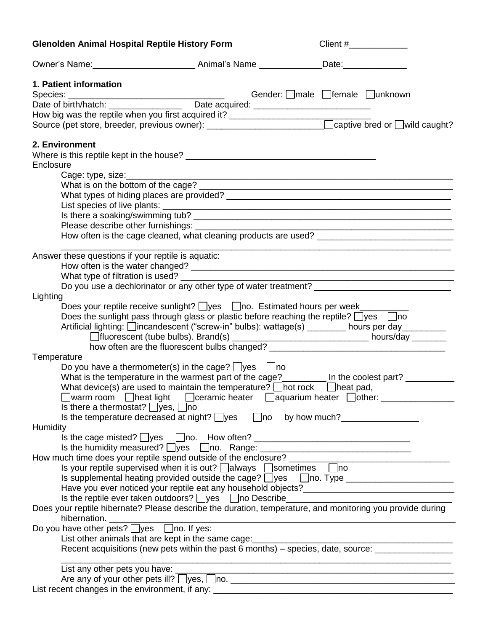| <b>Glenolden Animal Hospital Reptile History Form</b>                                             | Client #______________                                                                                                |
|---------------------------------------------------------------------------------------------------|-----------------------------------------------------------------------------------------------------------------------|
|                                                                                                   |                                                                                                                       |
| 1. Patient information                                                                            |                                                                                                                       |
|                                                                                                   | Gender: male female Junknown                                                                                          |
|                                                                                                   |                                                                                                                       |
|                                                                                                   | Date or Dinnimaton.<br>How big was the reptile when you first acquired it?<br>All the second of Divild caught?        |
|                                                                                                   |                                                                                                                       |
| 2. Environment                                                                                    |                                                                                                                       |
|                                                                                                   |                                                                                                                       |
| Enclosure                                                                                         |                                                                                                                       |
|                                                                                                   |                                                                                                                       |
|                                                                                                   |                                                                                                                       |
|                                                                                                   |                                                                                                                       |
|                                                                                                   |                                                                                                                       |
|                                                                                                   | List species of live plants:<br>Is there a soaking/swimming tub?                                                      |
|                                                                                                   | <u> 1980 - Johann Barn, amerikan besteman besteman besteman besteman besteman besteman besteman besteman besteman</u> |
|                                                                                                   |                                                                                                                       |
|                                                                                                   |                                                                                                                       |
| Answer these questions if your reptile is aquatic:                                                |                                                                                                                       |
|                                                                                                   |                                                                                                                       |
|                                                                                                   |                                                                                                                       |
|                                                                                                   | Do you use a dechlorinator or any other type of water treatment? __________________________________                   |
| Lighting                                                                                          |                                                                                                                       |
| Does your reptile receive sunlight? Uyes   Ono. Estimated hours per week______                    |                                                                                                                       |
| Does the sunlight pass through glass or plastic before reaching the reptile? $\Box$ yes $\Box$ no |                                                                                                                       |
|                                                                                                   | Artificial lighting: Uincandescent ("screw-in" bulbs): wattage(s) _______ hours per day_______                        |
|                                                                                                   |                                                                                                                       |
|                                                                                                   | how often are the fluorescent bulbs changed? ___________________________________                                      |
| Temperature                                                                                       |                                                                                                                       |
| Do you have a thermometer(s) in the cage? $\Box$ yes $\Box$ no                                    |                                                                                                                       |
|                                                                                                   | What is the temperature in the warmest part of the cage?________ In the coolest part? _______                         |
| What device(s) are used to maintain the temperature? $\Box$ hot rock $\Box$ heat pad,             |                                                                                                                       |
|                                                                                                   | □warm room □heat light □ceramic heater □aquarium heater □other: ___________                                           |
| Is there a thermostat? $\Box$ yes, $\Box$ no                                                      |                                                                                                                       |
|                                                                                                   | Is the temperature decreased at night? $\Box$ yes $\Box$ no by how much? ______________                               |
| Humidity                                                                                          |                                                                                                                       |
| Is the cage misted? $\Box$ yes $\Box$ no. How often? __________________________________           |                                                                                                                       |
|                                                                                                   | Is the humidity measured? $\Box$ yes $\Box$ no. Range: $\Box$                                                         |
|                                                                                                   |                                                                                                                       |
| Is your reptile supervised when it is out? □ always □ sometimes □ no                              |                                                                                                                       |
|                                                                                                   | Is supplemental heating provided outside the cage? □yes □no. Type ______________                                      |
|                                                                                                   |                                                                                                                       |
| Is the reptile ever taken outdoors? □yes □no Describe                                             |                                                                                                                       |
|                                                                                                   | Does your reptile hibernate? Please describe the duration, temperature, and monitoring you provide during             |
| hibernation.                                                                                      |                                                                                                                       |
| Do you have other pets? <u>Jyes</u> Ino. If yes:                                                  |                                                                                                                       |
|                                                                                                   |                                                                                                                       |
|                                                                                                   | Recent acquisitions (new pets within the past 6 months) – species, date, source:                                      |
|                                                                                                   |                                                                                                                       |
|                                                                                                   |                                                                                                                       |
|                                                                                                   | Are any of your other pets ill? Uyes, Uno. 1998. Are and the control of the any of your other pets ill? Uyes, Uno.    |
|                                                                                                   |                                                                                                                       |